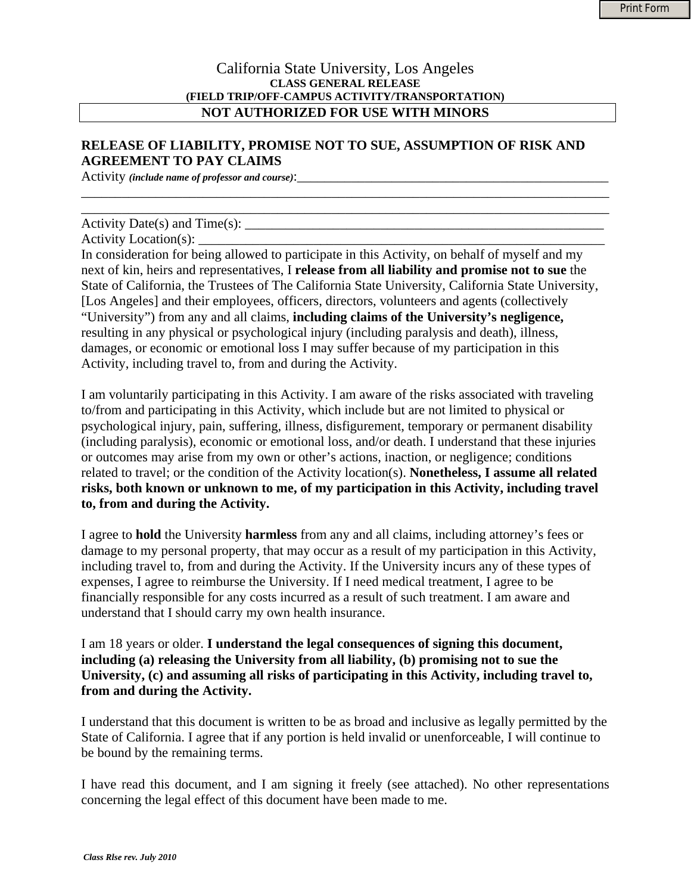## California State University, Los Angeles **CLASS GENERAL RELEASE (FIELD TRIP/OFF-CAMPUS ACTIVITY/TRANSPORTATION) NOT AUTHORIZED FOR USE WITH MINORS**

\_\_\_\_\_\_\_\_\_\_\_\_\_\_\_\_\_\_\_\_\_\_\_\_\_\_\_\_\_\_\_\_\_\_\_\_\_\_\_\_\_\_\_\_\_\_\_\_\_\_\_\_\_\_\_\_\_\_\_\_\_\_\_\_\_\_\_\_\_\_\_\_\_\_\_\_\_\_ \_\_\_\_\_\_\_\_\_\_\_\_\_\_\_\_\_\_\_\_\_\_\_\_\_\_\_\_\_\_\_\_\_\_\_\_\_\_\_\_\_\_\_\_\_\_\_\_\_\_\_\_\_\_\_\_\_\_\_\_\_\_\_\_\_\_\_\_\_\_\_\_\_\_\_\_\_\_

## **RELEASE OF LIABILITY, PROMISE NOT TO SUE, ASSUMPTION OF RISK AND AGREEMENT TO PAY CLAIMS**

Activity *(include name of professor and course)*:

Activity Date $(s)$  and Time $(s)$ :

Activity Location(s):

In consideration for being allowed to participate in this Activity, on behalf of myself and my next of kin, heirs and representatives, I **release from all liability and promise not to sue** the State of California, the Trustees of The California State University, California State University, [Los Angeles] and their employees, officers, directors, volunteers and agents (collectively "University") from any and all claims, **including claims of the University's negligence,**  resulting in any physical or psychological injury (including paralysis and death), illness, damages, or economic or emotional loss I may suffer because of my participation in this Activity, including travel to, from and during the Activity.

I am voluntarily participating in this Activity. I am aware of the risks associated with traveling to/from and participating in this Activity, which include but are not limited to physical or psychological injury, pain, suffering, illness, disfigurement, temporary or permanent disability (including paralysis), economic or emotional loss, and/or death. I understand that these injuries or outcomes may arise from my own or other's actions, inaction, or negligence; conditions related to travel; or the condition of the Activity location(s). **Nonetheless, I assume all related risks, both known or unknown to me, of my participation in this Activity, including travel to, from and during the Activity.** 

I agree to **hold** the University **harmless** from any and all claims, including attorney's fees or damage to my personal property, that may occur as a result of my participation in this Activity, including travel to, from and during the Activity. If the University incurs any of these types of expenses, I agree to reimburse the University. If I need medical treatment, I agree to be financially responsible for any costs incurred as a result of such treatment. I am aware and understand that I should carry my own health insurance.

I am 18 years or older. **I understand the legal consequences of signing this document, including (a) releasing the University from all liability, (b) promising not to sue the University, (c) and assuming all risks of participating in this Activity, including travel to, from and during the Activity.** 

I understand that this document is written to be as broad and inclusive as legally permitted by the State of California. I agree that if any portion is held invalid or unenforceable, I will continue to be bound by the remaining terms.

I have read this document, and I am signing it freely (see attached). No other representations concerning the legal effect of this document have been made to me.